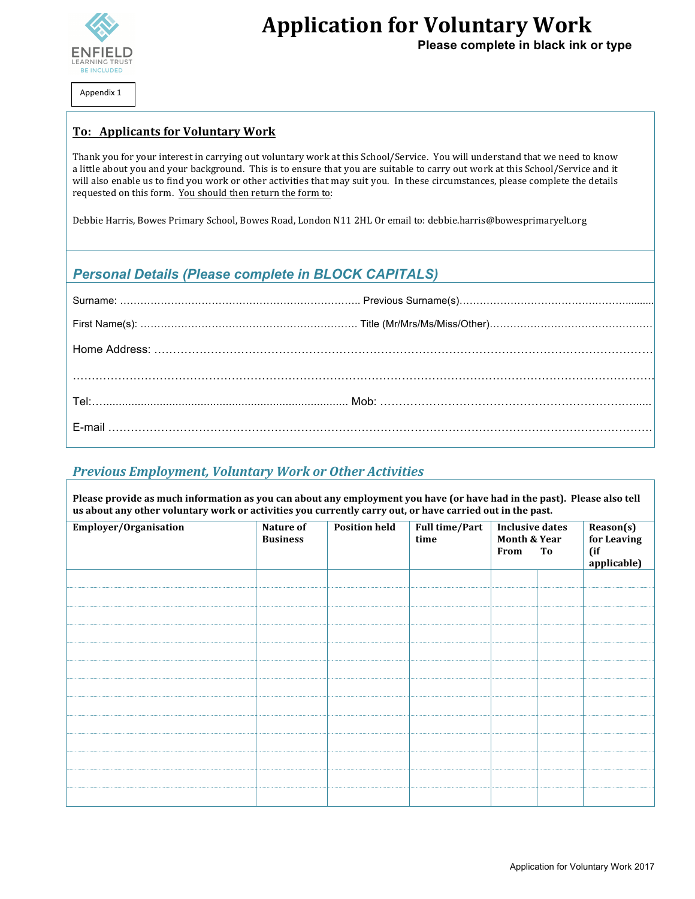

**Application for Voluntary Work** 

 **Please complete in black ink or type**

Appendix 1

#### **To: Applicants for Voluntary Work**

Thank you for your interest in carrying out voluntary work at this School/Service. You will understand that we need to know a little about you and your background. This is to ensure that you are suitable to carry out work at this School/Service and it will also enable us to find you work or other activities that may suit you. In these circumstances, please complete the details requested on this form. You should then return the form to:

Debbie Harris, Bowes Primary School, Bowes Road, London N11 2HL Or email to: debbie.harris@bowesprimaryelt.org

## *Personal Details (Please complete in BLOCK CAPITALS)*

## *Previous Employment, Voluntary Work or Other Activities*

Please provide as much information as you can about any employment you have (or have had in the past). Please also tell us about any other voluntary work or activities you currently carry out, or have carried out in the past.

| Employer/Organisation | Nature of<br><b>Business</b> | <b>Position held</b> | Full time/Part<br>time | <b>Inclusive dates</b><br>Month & Year |    | Reason(s)<br>for Leaving |
|-----------------------|------------------------------|----------------------|------------------------|----------------------------------------|----|--------------------------|
|                       |                              |                      |                        |                                        |    |                          |
|                       |                              |                      |                        | From                                   | To | (if                      |
|                       |                              |                      |                        |                                        |    | applicable)              |
|                       |                              |                      |                        |                                        |    |                          |
|                       |                              |                      |                        |                                        |    |                          |
|                       |                              |                      |                        |                                        |    |                          |
|                       |                              |                      |                        |                                        |    |                          |
|                       |                              |                      |                        |                                        |    |                          |
|                       |                              |                      |                        |                                        |    |                          |
|                       |                              |                      |                        |                                        |    |                          |
|                       |                              |                      |                        |                                        |    |                          |
|                       |                              |                      |                        |                                        |    |                          |
|                       |                              |                      |                        |                                        |    |                          |
|                       |                              |                      |                        |                                        |    |                          |
|                       |                              |                      |                        |                                        |    |                          |
|                       |                              |                      |                        |                                        |    |                          |
|                       |                              |                      |                        |                                        |    |                          |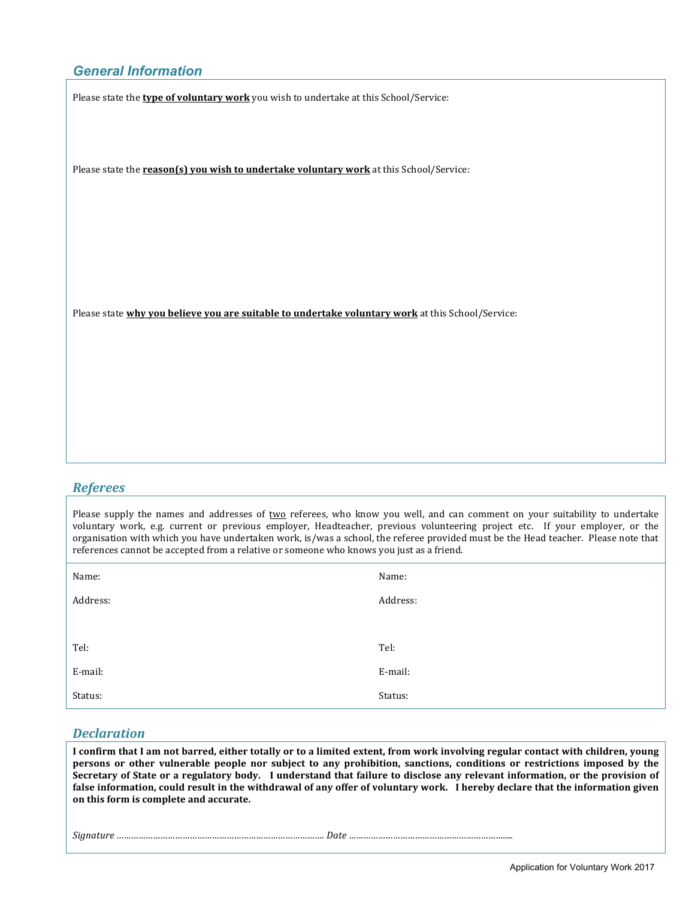## *General Information*

Please state the **type of voluntary work** you wish to undertake at this School/Service:

Please state the **reason(s)** you wish to undertake voluntary work at this School/Service:

Please state **why you believe you are suitable to undertake voluntary work** at this School/Service:

#### *Referees*

Please supply the names and addresses of two referees, who know you well, and can comment on your suitability to undertake voluntary work, e.g. current or previous employer, Headteacher, previous volunteering project etc. If your employer, or the organisation with which you have undertaken work, is/was a school, the referee provided must be the Head teacher. Please note that references cannot be accepted from a relative or someone who knows you just as a friend.

| Name:    | Name:    |
|----------|----------|
| Address: | Address: |
|          |          |
| Tel:     | Tel:     |
| E-mail:  | E-mail:  |
| Status:  | Status:  |

#### *Declaration*

I confirm that I am not barred, either totally or to a limited extent, from work involving regular contact with children, young **persons** or other vulnerable people nor subject to any prohibition, sanctions, conditions or restrictions imposed by the Secretary of State or a regulatory body. I understand that failure to disclose any relevant information, or the provision of false information, could result in the withdrawal of any offer of voluntary work. I hereby declare that the information given on this form is complete and accurate.

*Signature …………………………………………………………………………. Date ……………………………………………………….....*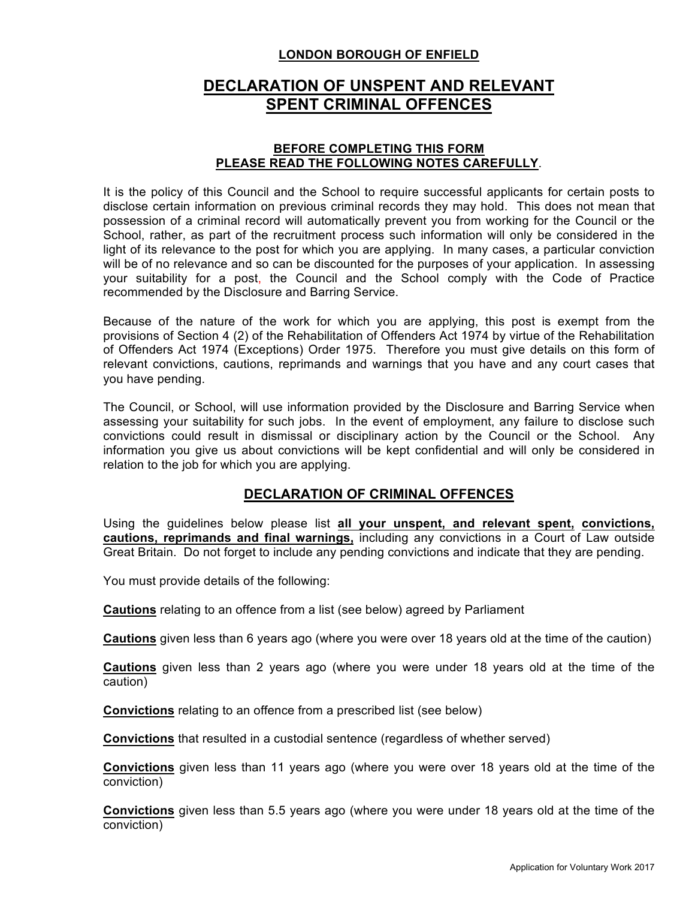## **LONDON BOROUGH OF ENFIELD**

# **DECLARATION OF UNSPENT AND RELEVANT SPENT CRIMINAL OFFENCES**

#### **BEFORE COMPLETING THIS FORM PLEASE READ THE FOLLOWING NOTES CAREFULLY**.

It is the policy of this Council and the School to require successful applicants for certain posts to disclose certain information on previous criminal records they may hold. This does not mean that possession of a criminal record will automatically prevent you from working for the Council or the School, rather, as part of the recruitment process such information will only be considered in the light of its relevance to the post for which you are applying. In many cases, a particular conviction will be of no relevance and so can be discounted for the purposes of your application. In assessing your suitability for a post, the Council and the School comply with the Code of Practice recommended by the Disclosure and Barring Service.

Because of the nature of the work for which you are applying, this post is exempt from the provisions of Section 4 (2) of the Rehabilitation of Offenders Act 1974 by virtue of the Rehabilitation of Offenders Act 1974 (Exceptions) Order 1975. Therefore you must give details on this form of relevant convictions, cautions, reprimands and warnings that you have and any court cases that you have pending.

The Council, or School, will use information provided by the Disclosure and Barring Service when assessing your suitability for such jobs. In the event of employment, any failure to disclose such convictions could result in dismissal or disciplinary action by the Council or the School. Any information you give us about convictions will be kept confidential and will only be considered in relation to the job for which you are applying.

## **DECLARATION OF CRIMINAL OFFENCES**

Using the guidelines below please list **all your unspent, and relevant spent, convictions, cautions, reprimands and final warnings,** including any convictions in a Court of Law outside Great Britain. Do not forget to include any pending convictions and indicate that they are pending.

You must provide details of the following:

**Cautions** relating to an offence from a list (see below) agreed by Parliament

**Cautions** given less than 6 years ago (where you were over 18 years old at the time of the caution)

**Cautions** given less than 2 years ago (where you were under 18 years old at the time of the caution)

**Convictions** relating to an offence from a prescribed list (see below)

**Convictions** that resulted in a custodial sentence (regardless of whether served)

**Convictions** given less than 11 years ago (where you were over 18 years old at the time of the conviction)

**Convictions** given less than 5.5 years ago (where you were under 18 years old at the time of the conviction)